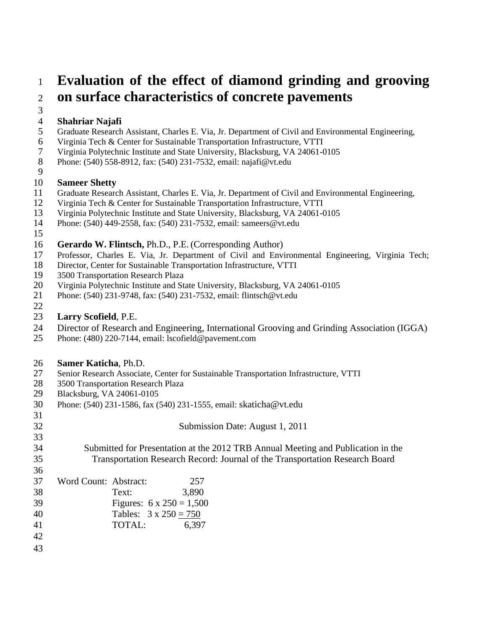## **Evaluation of the effect of diamond grinding and grooving on surface characteristics of concrete pavements**

## **Shahriar Najafi**

- Graduate Research Assistant, Charles E. Via, Jr. Department of Civil and Environmental Engineering,
- Virginia Tech & Center for Sustainable Transportation Infrastructure, VTTI
- Virginia Polytechnic Institute and State University, Blacksburg, VA 24061-0105
- Phone: (540) 558-8912, fax: (540) 231-7532, email: najafi@vt.edu
- 

#### **Sameer Shetty**

- Graduate Research Assistant, Charles E. Via, Jr. Department of Civil and Environmental Engineering,
- Virginia Tech & Center for Sustainable Transportation Infrastructure, VTTI
- Virginia Polytechnic Institute and State University, Blacksburg, VA 24061-0105
- Phone: (540) 449-2558, fax: (540) 231-7532, email: sameers@vt.edu
- 

#### **Gerardo W. Flintsch,** Ph.D., P.E.(Corresponding Author)

- Professor, Charles E. Via, Jr. Department of Civil and Environmental Engineering, Virginia Tech;
- Director, Center for Sustainable Transportation Infrastructure, VTTI
- 19 3500 Transportation Research Plaza<br>20 Virginia Polytechnic Institute and Sta
- Virginia Polytechnic Institute and State University, Blacksburg, VA 24061-0105
- Phone: (540) 231-9748, fax: (540) 231-7532, email: [flintsch@vt.edu](mailto:flintsch@vt.edu)
- 

#### **Larry Scofield**, P.E.

- Director of Research and Engineering, International Grooving and Grinding Association (IGGA)
- Phone: (480) 220-7144, email: lscofield@pavement.com

# 26 **Samer Katicha**, Ph.D.<br>27 Senior Research Associat

- Senior Research Associate, Center for Sustainable Transportation Infrastructure, VTTI
- 28 3500 Transportation Research Plaza<br>29 Blacksburg, VA 24061-0105
- Blacksburg, VA 24061-0105
- Phone: (540) 231-1586, fax (540) 231-1555, email: [skaticha@vt.edu](mailto:skaticha@vt.edu)
- 

Submission Date: August 1, 2011

 Submitted for Presentation at the 2012 TRB Annual Meeting and Publication in the Transportation Research Record: Journal of the Transportation Research Board

| 37 | Word Count: Abstract: |        | 257                             |
|----|-----------------------|--------|---------------------------------|
| 38 |                       | Text:  | 3,890                           |
| 39 |                       |        | Figures: $6 \times 250 = 1,500$ |
| 40 |                       |        | Tables: $3 \times 250 = 750$    |
| 41 |                       | TOTAL: | 6,397                           |
| 42 |                       |        |                                 |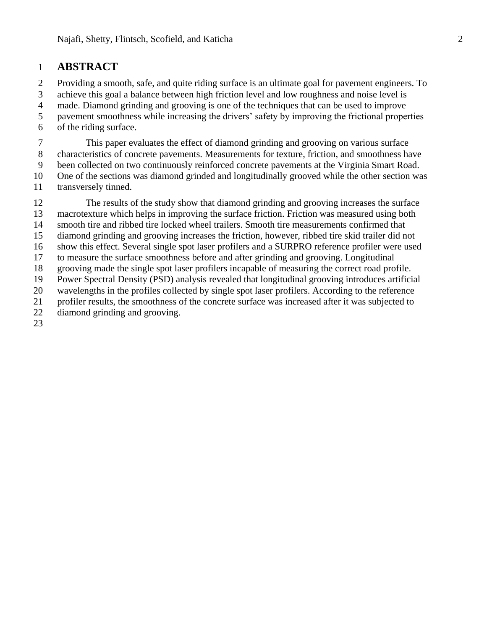## **ABSTRACT**

 Providing a smooth, safe, and quite riding surface is an ultimate goal for pavement engineers. To achieve this goal a balance between high friction level and low roughness and noise level is made. Diamond grinding and grooving is one of the techniques that can be used to improve pavement smoothness while increasing the drivers' safety by improving the frictional properties of the riding surface.

 This paper evaluates the effect of diamond grinding and grooving on various surface characteristics of concrete pavements. Measurements for texture, friction, and smoothness have been collected on two continuously reinforced concrete pavements at the Virginia Smart Road. One of the sections was diamond grinded and longitudinally grooved while the other section was transversely tinned.

 The results of the study show that diamond grinding and grooving increases the surface macrotexture which helps in improving the surface friction. Friction was measured using both smooth tire and ribbed tire locked wheel trailers. Smooth tire measurements confirmed that diamond grinding and grooving increases the friction, however, ribbed tire skid trailer did not show this effect. Several single spot laser profilers and a SURPRO reference profiler were used to measure the surface smoothness before and after grinding and grooving. Longitudinal grooving made the single spot laser profilers incapable of measuring the correct road profile. Power Spectral Density (PSD) analysis revealed that longitudinal grooving introduces artificial wavelengths in the profiles collected by single spot laser profilers. According to the reference profiler results, the smoothness of the concrete surface was increased after it was subjected to diamond grinding and grooving.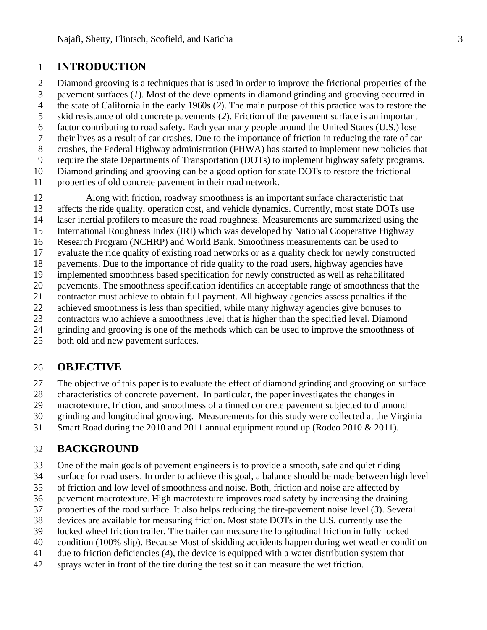## **INTRODUCTION**

 Diamond grooving is a techniques that is used in order to improve the frictional properties of the pavement surfaces (*1*). Most of the developments in diamond grinding and grooving occurred in

the state of California in the early 1960s (*2*). The main purpose of this practice was to restore the

skid resistance of old concrete pavements (*2*). Friction of the pavement surface is an important

factor contributing to road safety. Each year many people around the United States (U.S.) lose

- their lives as a result of car crashes. Due to the importance of friction in reducing the rate of car
- crashes, the Federal Highway administration (FHWA) has started to implement new policies that
- require the state Departments of Transportation (DOTs) to implement highway safety programs.
- Diamond grinding and grooving can be a good option for state DOTs to restore the frictional
- properties of old concrete pavement in their road network.

Along with friction, roadway smoothness is an important surface characteristic that

- affects the ride quality, operation cost, and vehicle dynamics. Currently, most state DOTs use
- laser inertial profilers to measure the road roughness. Measurements are summarized using the
- International Roughness Index (IRI) which was developed by National Cooperative Highway
- Research Program (NCHRP) and World Bank. Smoothness measurements can be used to
- evaluate the ride quality of existing road networks or as a quality check for newly constructed pavements. Due to the importance of ride quality to the road users, highway agencies have
- implemented smoothness based specification for newly constructed as well as rehabilitated
- pavements. The smoothness specification identifies an acceptable range of smoothness that the
- contractor must achieve to obtain full payment. All highway agencies assess penalties if the
- achieved smoothness is less than specified, while many highway agencies give bonuses to
- contractors who achieve a smoothness level that is higher than the specified level. Diamond
- grinding and grooving is one of the methods which can be used to improve the smoothness of
- both old and new pavement surfaces.

## **OBJECTIVE**

The objective of this paper is to evaluate the effect of diamond grinding and grooving on surface

characteristics of concrete pavement. In particular, the paper investigates the changes in

macrotexture, friction, and smoothness of a tinned concrete pavement subjected to diamond

grinding and longitudinal grooving. Measurements for this study were collected at the Virginia

Smart Road during the 2010 and 2011 annual equipment round up (Rodeo 2010 & 2011).

## **BACKGROUND**

One of the main goals of pavement engineers is to provide a smooth, safe and quiet riding

surface for road users. In order to achieve this goal, a balance should be made between high level

of friction and low level of smoothness and noise. Both, friction and noise are affected by

- pavement macrotexture. High macrotexture improves road safety by increasing the draining
- properties of the road surface. It also helps reducing the tire-pavement noise level (*3*). Several
- devices are available for measuring friction. Most state DOTs in the U.S. currently use the
- locked wheel friction trailer. The trailer can measure the longitudinal friction in fully locked
- condition (100% slip). Because Most of skidding accidents happen during wet weather condition
- due to friction deficiencies (*4*), the device is equipped with a water distribution system that
- sprays water in front of the tire during the test so it can measure the wet friction.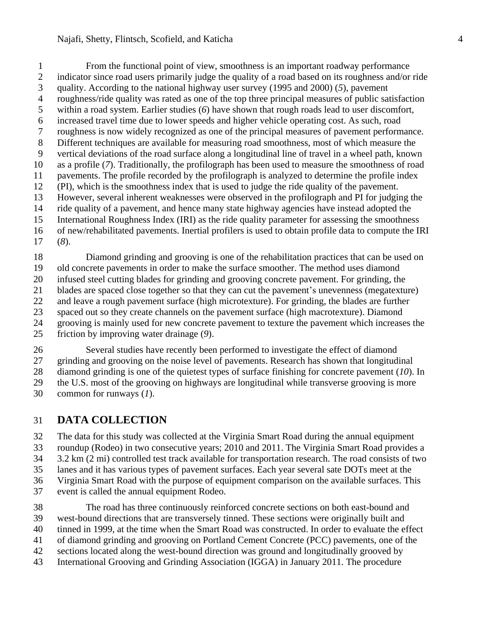#### Najafi, Shetty, Flintsch, Scofield, and Katicha 4

 From the functional point of view, smoothness is an important roadway performance indicator since road users primarily judge the quality of a road based on its roughness and/or ride quality. According to the national highway user survey (1995 and 2000) (*5*), pavement roughness/ride quality was rated as one of the top three principal measures of public satisfaction within a road system. Earlier studies (*6*) have shown that rough roads lead to user discomfort, increased travel time due to lower speeds and higher vehicle operating cost. As such, road roughness is now widely recognized as one of the principal measures of pavement performance. Different techniques are available for measuring road smoothness, most of which measure the vertical deviations of the road surface along a longitudinal line of travel in a wheel path, known as a profile (*7*). Traditionally, the profilograph has been used to measure the smoothness of road pavements. The profile recorded by the profilograph is analyzed to determine the profile index (PI), which is the smoothness index that is used to judge the ride quality of the pavement. However, several inherent weaknesses were observed in the profilograph and PI for judging the ride quality of a pavement, and hence many state highway agencies have instead adopted the International Roughness Index (IRI) as the ride quality parameter for assessing the smoothness of new/rehabilitated pavements. Inertial profilers is used to obtain profile data to compute the IRI (*8*).

 Diamond grinding and grooving is one of the rehabilitation practices that can be used on old concrete pavements in order to make the surface smoother. The method uses diamond infused steel cutting blades for grinding and grooving concrete pavement. For grinding, the blades are spaced close together so that they can cut the pavement's unevenness (megatexture) and leave a rough pavement surface (high microtexture). For grinding, the blades are further spaced out so they create channels on the pavement surface (high macrotexture). Diamond grooving is mainly used for new concrete pavement to texture the pavement which increases the friction by improving water drainage (*9*).

 Several studies have recently been performed to investigate the effect of diamond grinding and grooving on the noise level of pavements. Research has shown that longitudinal diamond grinding is one of the quietest types of surface finishing for concrete pavement (*10*). In the U.S. most of the grooving on highways are longitudinal while transverse grooving is more common for runways (*1*).

## **DATA COLLECTION**

 The data for this study was collected at the Virginia Smart Road during the annual equipment roundup (Rodeo) in two consecutive years; 2010 and 2011. The Virginia Smart Road provides a 3.2 km (2 mi) controlled test track available for transportation research. The road consists of two lanes and it has various types of pavement surfaces. Each year several sate DOTs meet at the Virginia Smart Road with the purpose of equipment comparison on the available surfaces. This event is called the annual equipment Rodeo.

 The road has three continuously reinforced concrete sections on both east-bound and west-bound directions that are transversely tinned. These sections were originally built and tinned in 1999, at the time when the Smart Road was constructed. In order to evaluate the effect of diamond grinding and grooving on Portland Cement Concrete (PCC) pavements, one of the sections located along the west-bound direction was ground and longitudinally grooved by International Grooving and Grinding Association (IGGA) in January 2011. The procedure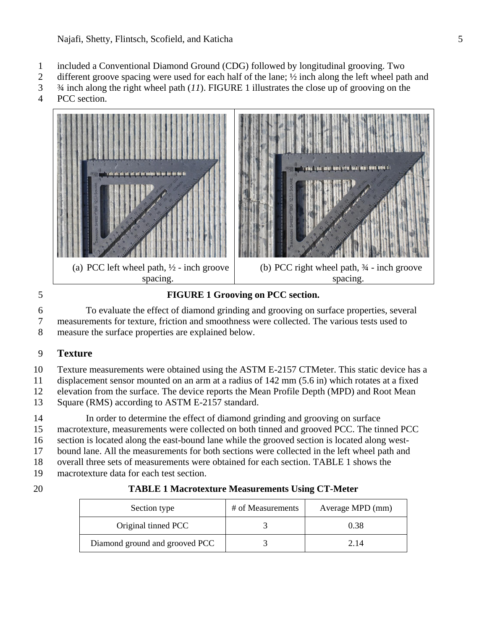- included a Conventional Diamond Ground (CDG) followed by longitudinal grooving. Two
- different groove spacing were used for each half of the lane; ½ inch along the left wheel path and
- ¾ inch along the right wheel path (*11*). [FIGURE](#page-4-0) 1 illustrates the close up of grooving on the
- PCC section.



## <span id="page-4-0"></span>**FIGURE 1 Grooving on PCC section.**

 To evaluate the effect of diamond grinding and grooving on surface properties, several measurements for texture, friction and smoothness were collected. The various tests used to

measure the surface properties are explained below.

## **Texture**

Texture measurements were obtained using the ASTM E-2157 CTMeter. This static device has a

displacement sensor mounted on an arm at a radius of 142 mm (5.6 in) which rotates at a fixed

 elevation from the surface. The device reports the Mean Profile Depth (MPD) and Root Mean 13 Square (RMS) according to ASTM E-2157 standard.

 In order to determine the effect of diamond grinding and grooving on surface macrotexture, measurements were collected on both tinned and grooved PCC. The tinned PCC section is located along the east-bound lane while the grooved section is located along west- bound lane. All the measurements for both sections were collected in the left wheel path and overall three sets of measurements were obtained for each section. [TABLE](#page-4-1) 1 shows the

- macrotexture data for each test section.
- 

<span id="page-4-1"></span>

| <b>TABLE 1 Macrotexture Measurements Using CT-Meter</b> |
|---------------------------------------------------------|
|                                                         |

| Section type                   | # of Measurements | Average MPD (mm) |
|--------------------------------|-------------------|------------------|
| Original tinned PCC            |                   | 0.38             |
| Diamond ground and grooved PCC |                   | 2.14             |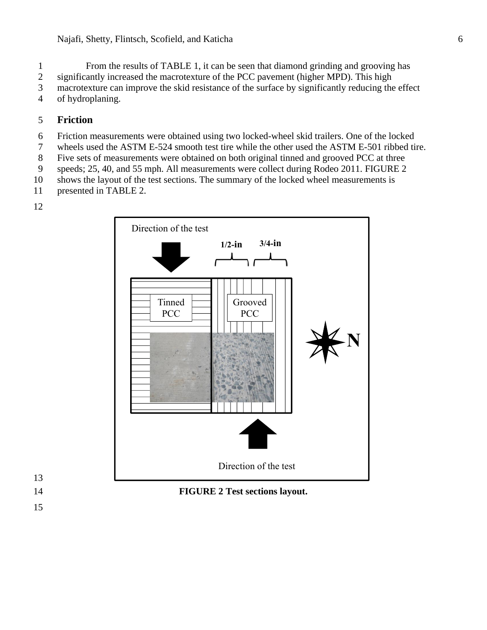From the results of [TABLE](#page-4-1) 1, it can be seen that diamond grinding and grooving has

significantly increased the macrotexture of the PCC pavement (higher MPD). This high

macrotexture can improve the skid resistance of the surface by significantly reducing the effect

of hydroplaning.

### **Friction**

- Friction measurements were obtained using two locked-wheel skid trailers. One of the locked
- wheels used the ASTM E-524 smooth test tire while the other used the ASTM E-501 ribbed tire.
- Five sets of measurements were obtained on both original tinned and grooved PCC at three
- speeds; 25, 40, and 55 mph. All measurements were collect during Rodeo 2011. [FIGURE](#page-5-0) 2
- shows the layout of the test sections. The summary of the locked wheel measurements is
- presented in [TABLE](#page-6-0) 2.
- 



- <span id="page-5-0"></span>
-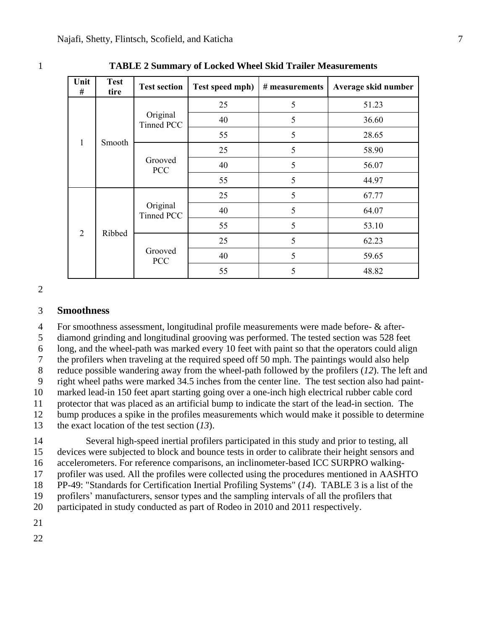| Unit<br>#      | <b>Test</b><br>tire | <b>Test section</b>    | Test speed mph) | # measurements | Average skid number |
|----------------|---------------------|------------------------|-----------------|----------------|---------------------|
| $\mathbf{1}$   | Smooth              | Original<br>Tinned PCC | 25              | 5              | 51.23               |
|                |                     |                        | 40              | 5              | 36.60               |
|                |                     |                        | 55              | 5              | 28.65               |
|                |                     | Grooved<br><b>PCC</b>  | 25              | 5              | 58.90               |
|                |                     |                        | 40              | 5              | 56.07               |
|                |                     |                        | 55              | 5              | 44.97               |
| $\overline{2}$ | Ribbed              | Original<br>Tinned PCC | 25              | 5              | 67.77               |
|                |                     |                        | 40              | 5              | 64.07               |
|                |                     |                        | 55              | 5              | 53.10               |
|                |                     | Grooved<br><b>PCC</b>  | 25              | 5              | 62.23               |
|                |                     |                        | 40              | 5              | 59.65               |
|                |                     |                        | 55              | 5              | 48.82               |

<span id="page-6-0"></span>**TABLE 2 Summary of Locked Wheel Skid Trailer Measurements**

#### **Smoothness**

For smoothness assessment, longitudinal profile measurements were made before- & after-

diamond grinding and longitudinal grooving was performed. The tested section was 528 feet

long, and the wheel-path was marked every 10 feet with paint so that the operators could align

the profilers when traveling at the required speed off 50 mph. The paintings would also help

reduce possible wandering away from the wheel-path followed by the profilers (*12*). The left and

 right wheel paths were marked 34.5 inches from the center line. The test section also had paint-marked lead-in 150 feet apart starting going over a one-inch high electrical rubber cable cord

protector that was placed as an artificial bump to indicate the start of the lead-in section. The

bump produces a spike in the profiles measurements which would make it possible to determine

the exact location of the test section (*13*).

 Several high-speed inertial profilers participated in this study and prior to testing, all devices were subjected to block and bounce tests in order to calibrate their height sensors and accelerometers. For reference comparisons, an inclinometer-based ICC SURPRO walking- profiler was used. All the profiles were collected using the procedures mentioned in AASHTO PP-49: "Standards for Certification Inertial Profiling Systems" (*14*). [TABLE](#page-7-0) 3 is a list of the

profilers' manufacturers, sensor types and the sampling intervals of all the profilers that

participated in study conducted as part of Rodeo in 2010 and 2011 respectively.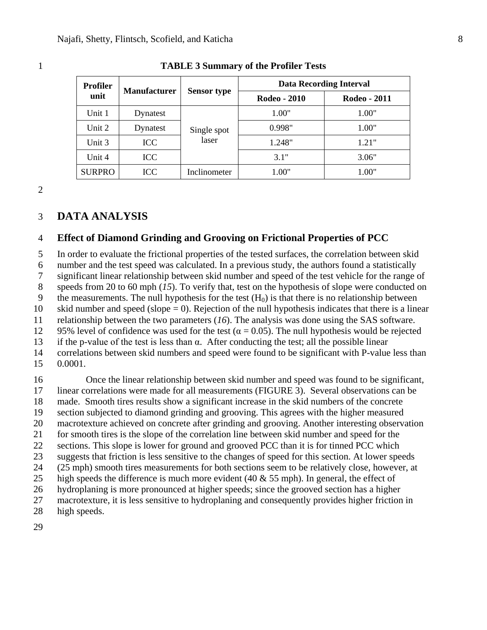| <b>Profiler</b> | <b>Manufacturer</b> | <b>Sensor type</b>   | <b>Data Recording Interval</b> |              |
|-----------------|---------------------|----------------------|--------------------------------|--------------|
| unit            |                     |                      | Rodeo - 2010                   | Rodeo - 2011 |
| Unit 1          | Dynatest            | Single spot<br>laser | 1.00"                          | 1.00"        |
| Unit 2          | Dynatest            |                      | 0.998"                         | 1.00"        |
| Unit 3          | <b>ICC</b>          |                      | 1.248"                         | 1.21"        |
| Unit 4          | <b>ICC</b>          |                      | 3.1"                           | 3.06"        |
| <b>SURPRO</b>   | ICC                 | Inclinometer         | "00.l                          | 1.00"        |

#### <span id="page-7-0"></span>1 **TABLE 3 Summary of the Profiler Tests**

2

#### 3 **DATA ANALYSIS**

#### 4 **Effect of Diamond Grinding and Grooving on Frictional Properties of PCC**

5 In order to evaluate the frictional properties of the tested surfaces, the correlation between skid

6 number and the test speed was calculated. In a previous study, the authors found a statistically

7 significant linear relationship between skid number and speed of the test vehicle for the range of

8 speeds from 20 to 60 mph (*15*). To verify that, test on the hypothesis of slope were conducted on

9 the measurements. The null hypothesis for the test  $(H_0)$  is that there is no relationship between 10 skid number and speed (slope  $= 0$ ). Rejection of the null hypothesis indicates that there is a linear

11 relationship between the two parameters (*16*). The analysis was done using the SAS software.

12 95% level of confidence was used for the test ( $\alpha = 0.05$ ). The null hypothesis would be rejected

13 if the p-value of the test is less than  $\alpha$ . After conducting the test; all the possible linear

14 correlations between skid numbers and speed were found to be significant with P-value less than

15 0.0001.

 Once the linear relationship between skid number and speed was found to be significant, linear correlations were made for all measurements [\(FIGURE](#page-8-0) 3). Several observations can be made. Smooth tires results show a significant increase in the skid numbers of the concrete section subjected to diamond grinding and grooving. This agrees with the higher measured macrotexture achieved on concrete after grinding and grooving. Another interesting observation for smooth tires is the slope of the correlation line between skid number and speed for the sections. This slope is lower for ground and grooved PCC than it is for tinned PCC which suggests that friction is less sensitive to the changes of speed for this section. At lower speeds (25 mph) smooth tires measurements for both sections seem to be relatively close, however, at 25 high speeds the difference is much more evident (40  $\&$  55 mph). In general, the effect of hydroplaning is more pronounced at higher speeds; since the grooved section has a higher macrotexture, it is less sensitive to hydroplaning and consequently provides higher friction in high speeds.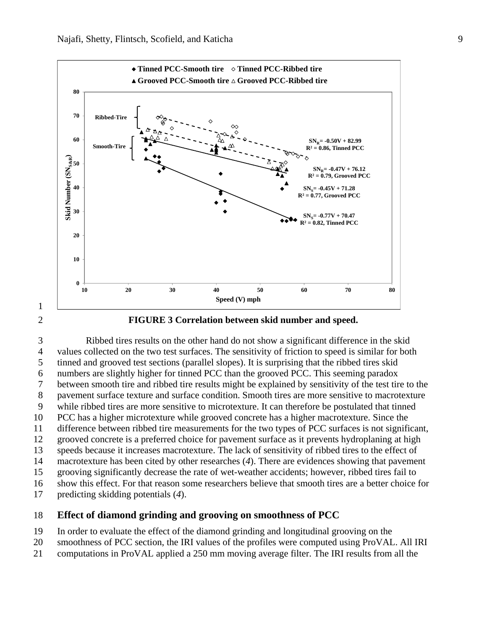



#### <span id="page-8-0"></span>**FIGURE 3 Correlation between skid number and speed.**

 Ribbed tires results on the other hand do not show a significant difference in the skid values collected on the two test surfaces. The sensitivity of friction to speed is similar for both tinned and grooved test sections (parallel slopes). It is surprising that the ribbed tires skid numbers are slightly higher for tinned PCC than the grooved PCC. This seeming paradox between smooth tire and ribbed tire results might be explained by sensitivity of the test tire to the pavement surface texture and surface condition. Smooth tires are more sensitive to macrotexture while ribbed tires are more sensitive to microtexture. It can therefore be postulated that tinned PCC has a higher microtexture while grooved concrete has a higher macrotexture. Since the difference between ribbed tire measurements for the two types of PCC surfaces is not significant, grooved concrete is a preferred choice for pavement surface as it prevents hydroplaning at high speeds because it increases macrotexture. The lack of sensitivity of ribbed tires to the effect of macrotexture has been cited by other researches (*4*). There are evidences showing that pavement grooving significantly decrease the rate of wet-weather accidents; however, ribbed tires fail to show this effect. For that reason some researchers believe that smooth tires are a better choice for predicting skidding potentials (*4*).

#### **Effect of diamond grinding and grooving on smoothness of PCC**

- In order to evaluate the effect of the diamond grinding and longitudinal grooving on the
- smoothness of PCC section, the IRI values of the profiles were computed using ProVAL. All IRI
- computations in ProVAL applied a 250 mm moving average filter. The IRI results from all the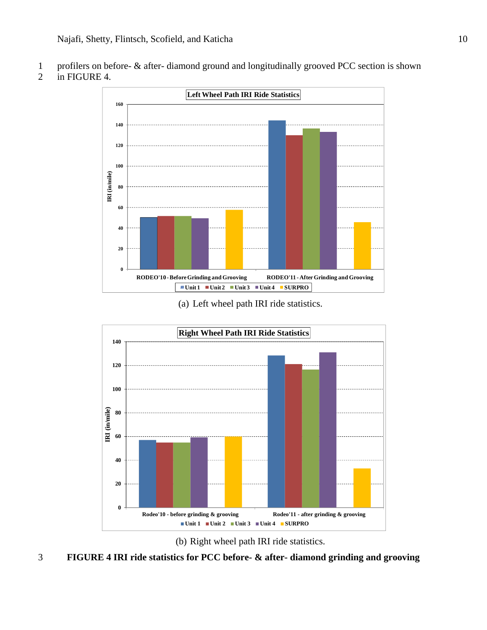profilers on before- & after- diamond ground and longitudinally grooved PCC section is shown





(a) Left wheel path IRI ride statistics.





<span id="page-9-0"></span>**FIGURE 4 IRI ride statistics for PCC before- & after- diamond grinding and grooving**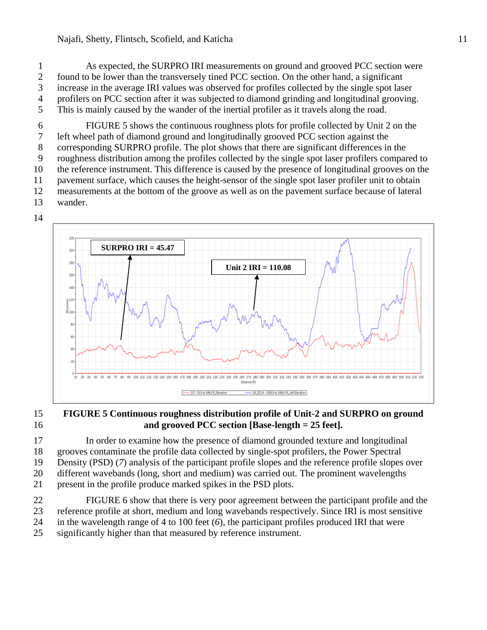As expected, the SURPRO IRI measurements on ground and grooved PCC section were found to be lower than the transversely tined PCC section. On the other hand, a significant increase in the average IRI values was observed for profiles collected by the single spot laser profilers on PCC section after it was subjected to diamond grinding and longitudinal grooving. This is mainly caused by the wander of the inertial profiler as it travels along the road.

 [FIGURE 5](#page-10-0) shows the continuous roughness plots for profile collected by Unit 2 on the left wheel path of diamond ground and longitudinally grooved PCC section against the corresponding SURPRO profile. The plot shows that there are significant differences in the roughness distribution among the profiles collected by the single spot laser profilers compared to the reference instrument. This difference is caused by the presence of longitudinal grooves on the pavement surface, which causes the height-sensor of the single spot laser profiler unit to obtain measurements at the bottom of the groove as well as on the pavement surface because of lateral wander.



#### <span id="page-10-0"></span> **FIGURE 5 Continuous roughness distribution profile of Unit-2 and SURPRO on ground and grooved PCC section [Base-length = 25 feet].**

 In order to examine how the presence of diamond grounded texture and longitudinal grooves contaminate the profile data collected by single-spot profilers, the Power Spectral Density (PSD) (*7*) analysis of the participant profile slopes and the reference profile slopes over different wavebands (long, short and medium) was carried out. The prominent wavelengths present in the profile produce marked spikes in the PSD plots.

 [FIGURE 6](#page-11-0) show that there is very poor agreement between the participant profile and the reference profile at short, medium and long wavebands respectively. Since IRI is most sensitive in the wavelength range of 4 to 100 feet (*6*), the participant profiles produced IRI that were

significantly higher than that measured by reference instrument.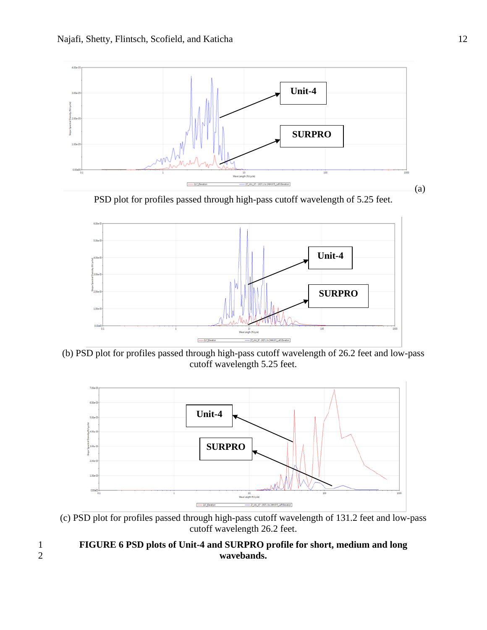

PSD plot for profiles passed through high-pass cutoff wavelength of 5.25 feet.



(b) PSD plot for profiles passed through high-pass cutoff wavelength of 26.2 feet and low-pass cutoff wavelength 5.25 feet.



(c) PSD plot for profiles passed through high-pass cutoff wavelength of 131.2 feet and low-pass cutoff wavelength 26.2 feet.

<span id="page-11-0"></span>1 **FIGURE 6 PSD plots of Unit-4 and SURPRO profile for short, medium and long**  2 **wavebands.**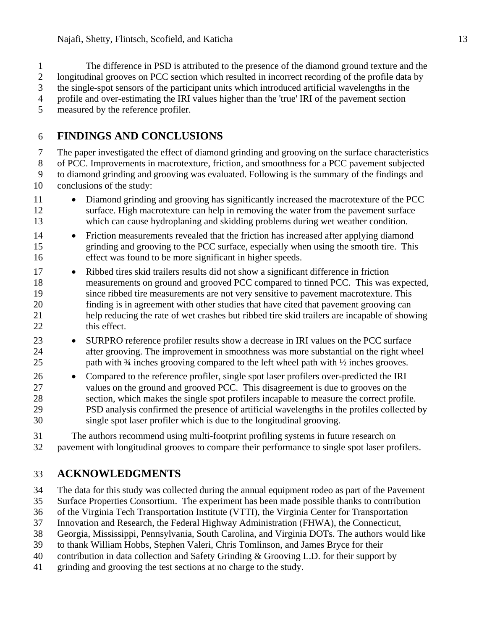The difference in PSD is attributed to the presence of the diamond ground texture and the longitudinal grooves on PCC section which resulted in incorrect recording of the profile data by the single-spot sensors of the participant units which introduced artificial wavelengths in the profile and over-estimating the IRI values higher than the 'true' IRI of the pavement section

measured by the reference profiler.

## **FINDINGS AND CONCLUSIONS**

 The paper investigated the effect of diamond grinding and grooving on the surface characteristics of PCC. Improvements in macrotexture, friction, and smoothness for a PCC pavement subjected to diamond grinding and grooving was evaluated. Following is the summary of the findings and conclusions of the study:

- 11 Diamond grinding and grooving has significantly increased the macrotexture of the PCC surface. High macrotexture can help in removing the water from the pavement surface which can cause hydroplaning and skidding problems during wet weather condition.
- 14 Friction measurements revealed that the friction has increased after applying diamond grinding and grooving to the PCC surface, especially when using the smooth tire. This effect was found to be more significant in higher speeds.
- 17 Ribbed tires skid trailers results did not show a significant difference in friction measurements on ground and grooved PCC compared to tinned PCC. This was expected, since ribbed tire measurements are not very sensitive to pavement macrotexture. This finding is in agreement with other studies that have cited that pavement grooving can help reducing the rate of wet crashes but ribbed tire skid trailers are incapable of showing this effect.
- 23 SURPRO reference profiler results show a decrease in IRI values on the PCC surface after grooving. The improvement in smoothness was more substantial on the right wheel 25 path with <sup>3</sup>/4 inches grooving compared to the left wheel path with <sup>1</sup>/<sub>2</sub> inches grooves.
- 26 Compared to the reference profiler, single spot laser profilers over-predicted the IRI values on the ground and grooved PCC. This disagreement is due to grooves on the section, which makes the single spot profilers incapable to measure the correct profile. PSD analysis confirmed the presence of artificial wavelengths in the profiles collected by single spot laser profiler which is due to the longitudinal grooving.

 The authors recommend using multi-footprint profiling systems in future research on pavement with longitudinal grooves to compare their performance to single spot laser profilers.

## **ACKNOWLEDGMENTS**

The data for this study was collected during the annual equipment rodeo as part of the Pavement

Surface Properties Consortium. The experiment has been made possible thanks to contribution

of the Virginia Tech Transportation Institute (VTTI), the Virginia Center for Transportation

- Innovation and Research, the Federal Highway Administration (FHWA), the Connecticut,
- Georgia, Mississippi, Pennsylvania, South Carolina, and Virginia DOTs. The authors would like
- to thank William Hobbs, Stephen Valeri, Chris Tomlinson, and James Bryce for their
- contribution in data collection and Safety Grinding & Grooving L.D. for their support by
- grinding and grooving the test sections at no charge to the study.